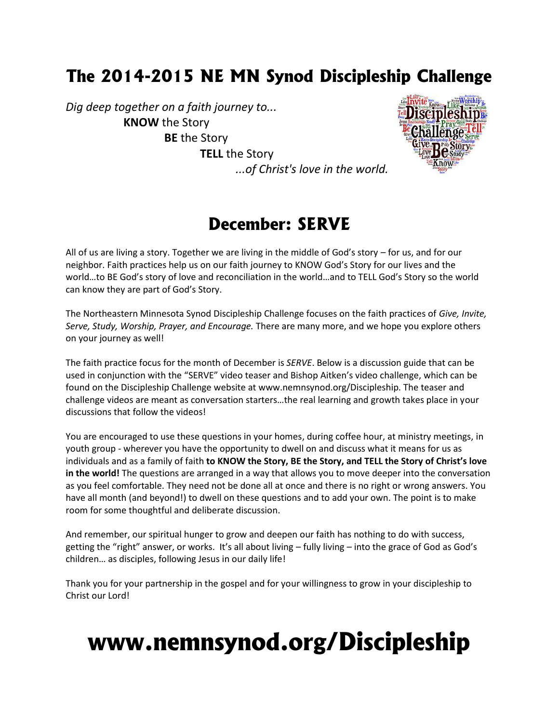## **The 2014-2015 NE MN Synod Discipleship Challenge**

*Dig deep together on a faith journey to...* **KNOW** the Story **BE** the Story **TELL** the Story



*...of Christ's love in the world.*

### **December: SERVE**

All of us are living a story. Together we are living in the middle of God's story – for us, and for our neighbor. Faith practices help us on our faith journey to KNOW God's Story for our lives and the world…to BE God's story of love and reconciliation in the world…and to TELL God's Story so the world can know they are part of God's Story.

The Northeastern Minnesota Synod Discipleship Challenge focuses on the faith practices of *Give, Invite, Serve, Study, Worship, Prayer, and Encourage.* There are many more, and we hope you explore others on your journey as well!

The faith practice focus for the month of December is *SERVE*. Below is a discussion guide that can be used in conjunction with the "SERVE" video teaser and Bishop Aitken's video challenge, which can be found on the Discipleship Challenge website at www.nemnsynod.org/Discipleship. The teaser and challenge videos are meant as conversation starters…the real learning and growth takes place in your discussions that follow the videos!

You are encouraged to use these questions in your homes, during coffee hour, at ministry meetings, in youth group - wherever you have the opportunity to dwell on and discuss what it means for us as individuals and as a family of faith **to KNOW the Story, BE the Story, and TELL the Story of Christ's love in the world!** The questions are arranged in a way that allows you to move deeper into the conversation as you feel comfortable. They need not be done all at once and there is no right or wrong answers. You have all month (and beyond!) to dwell on these questions and to add your own. The point is to make room for some thoughtful and deliberate discussion.

And remember, our spiritual hunger to grow and deepen our faith has nothing to do with success, getting the "right" answer, or works. It's all about living – fully living – into the grace of God as God's children… as disciples, following Jesus in our daily life!

Thank you for your partnership in the gospel and for your willingness to grow in your discipleship to Christ our Lord!

# **www.nemnsynod.org/Discipleship**